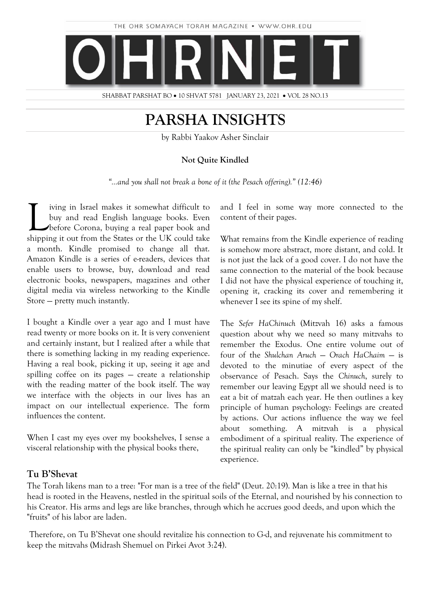

SHABBAT PARSHAT BO . 10 SHVAT 5781 JANUARY 23, 2021 . VOL 28 NO.13

### **PARSHA INSIGHTS**

by Rabbi Yaakov Asher Sinclair

#### **Not Quite Kindled**

*"…and you shall not break a bone of it (the Pesach offering)." (12:46)*

iving in Israel makes it somewhat difficult to buy and read English language books. Even before Corona, buying a real paper book and iving in Israel makes it somewhat difficult to<br>buy and read English language books. Even<br>before Corona, buying a real paper book and<br>shipping it out from the States or the UK could take a month. Kindle promised to change all that. Amazon Kindle is a series of e-readers, devices that enable users to browse, buy, download and read electronic books, newspapers, magazines and other digital media via wireless networking to the Kindle Store — pretty much instantly.

I bought a Kindle over a year ago and I must have read twenty or more books on it. It is very convenient and certainly instant, but I realized after a while that there is something lacking in my reading experience. Having a real book, picking it up, seeing it age and spilling coffee on its pages — create a relationship with the reading matter of the book itself. The way we interface with the objects in our lives has an impact on our intellectual experience. The form influences the content.

When I cast my eyes over my bookshelves, I sense a visceral relationship with the physical books there,

and I feel in some way more connected to the content of their pages.

What remains from the Kindle experience of reading is somehow more abstract, more distant, and cold. It is not just the lack of a good cover. I do not have the same connection to the material of the book because I did not have the physical experience of touching it, opening it, cracking its cover and remembering it whenever I see its spine of my shelf.

The *Sefer HaChinuch* (Mitzvah 16) asks a famous question about why we need so many mitzvahs to remember the Exodus. One entire volume out of four of the *Shulchan Aruch* — *Orach HaChaim* — is devoted to the minutiae of every aspect of the observance of Pesach. Says the *Chinuch*, surely to remember our leaving Egypt all we should need is to eat a bit of matzah each year. He then outlines a key principle of human psychology: Feelings are created by actions. Our actions influence the way we feel about something. A mitzvah is a physical embodiment of a spiritual reality. The experience of the spiritual reality can only be "kindled" by physical experience.

#### **Tu B'Shevat**

The Torah likens man to a tree: "For man is a tree of the field" (Deut. 20:19). Man is like a tree in that his head is rooted in the Heavens, nestled in the spiritual soils of the Eternal, and nourished by his connection to his Creator. His arms and legs are like branches, through which he accrues good deeds, and upon which the "fruits" of his labor are laden.

Therefore, on Tu B'Shevat one should revitalize his connection to G-d, and rejuvenate his commitment to keep the mitzvahs (Midrash Shemuel on Pirkei Avot 3:24).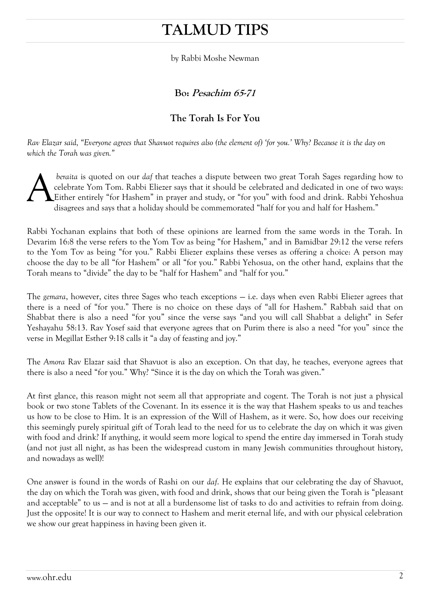### **TALMUD TIPS**

by Rabbi Moshe Newman

### **Bo: Pesachim 65-71**

### **The Torah Is For You**

*Rav Elazar said, "Everyone agrees that Shavuot requires also (the element of) 'for you.' Why? Because it is the day on which the Torah was given."*

*beraita* is quoted on our *daf* that teaches a dispute between two great Torah Sages regarding how to celebrate Yom Tom. Rabbi Eliezer says that it should be celebrated and dedicated in one of two ways: Either entirely "for Hashem" in prayer and study, or "for you" with food and drink. Rabbi Yehoshua disagrees and says that a holiday should be commemorated "half for you and half for Hashem." A

Rabbi Yochanan explains that both of these opinions are learned from the same words in the Torah. In Devarim 16:8 the verse refers to the Yom Tov as being "for Hashem," and in Bamidbar 29:12 the verse refers to the Yom Tov as being "for you." Rabbi Eliezer explains these verses as offering a choice: A person may choose the day to be all "for Hashem" or all "for you." Rabbi Yehosua, on the other hand, explains that the Torah means to "divide" the day to be "half for Hashem" and "half for you."

The *gemara*, however, cites three Sages who teach exceptions — i.e. days when even Rabbi Eliezer agrees that there is a need of "for you." There is no choice on these days of "all for Hashem." Rabbah said that on Shabbat there is also a need "for you" since the verse says "and you will call Shabbat a delight" in Sefer Yeshayahu 58:13. Rav Yosef said that everyone agrees that on Purim there is also a need "for you" since the verse in Megillat Esther 9:18 calls it "a day of feasting and joy."

The *Amora* Rav Elazar said that Shavuot is also an exception. On that day, he teaches, everyone agrees that there is also a need "for you." Why? "Since it is the day on which the Torah was given."

At first glance, this reason might not seem all that appropriate and cogent. The Torah is not just a physical book or two stone Tablets of the Covenant. In its essence it is the way that Hashem speaks to us and teaches us how to be close to Him. It is an expression of the Will of Hashem, as it were. So, how does our receiving this seemingly purely spiritual gift of Torah lead to the need for us to celebrate the day on which it was given with food and drink? If anything, it would seem more logical to spend the entire day immersed in Torah study (and not just all night, as has been the widespread custom in many Jewish communities throughout history, and nowadays as well)!

One answer is found in the words of Rashi on our *daf*. He explains that our celebrating the day of Shavuot, the day on which the Torah was given, with food and drink, shows that our being given the Torah is "pleasant and acceptable" to us — and is not at all a burdensome list of tasks to do and activities to refrain from doing. Just the opposite! It is our way to connect to Hashem and merit eternal life, and with our physical celebration we show our great happiness in having been given it.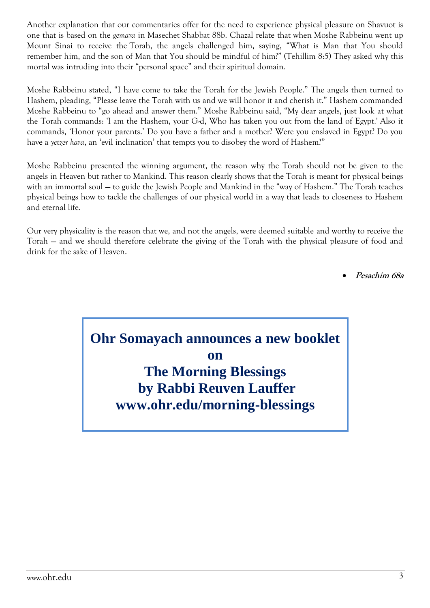Another explanation that our commentaries offer for the need to experience physical pleasure on Shavuot is one that is based on the *gemara* in Masechet Shabbat 88b. Chazal relate that when Moshe Rabbeinu went up Mount Sinai to receive the Torah, the angels challenged him, saying, "What is Man that You should remember him, and the son of Man that You should be mindful of him?" (Tehillim 8:5) They asked why this mortal was intruding into their "personal space" and their spiritual domain.

Moshe Rabbeinu stated, "I have come to take the Torah for the Jewish People." The angels then turned to Hashem, pleading, "Please leave the Torah with us and we will honor it and cherish it." Hashem commanded Moshe Rabbeinu to "go ahead and answer them." Moshe Rabbeinu said, "My dear angels, just look at what the Torah commands: 'I am the Hashem, your G-d, Who has taken you out from the land of Egypt.' Also it commands, 'Honor your parents.' Do you have a father and a mother? Were you enslaved in Egypt? Do you have a *yetzer hara*, an 'evil inclination' that tempts you to disobey the word of Hashem?"

Moshe Rabbeinu presented the winning argument, the reason why the Torah should not be given to the angels in Heaven but rather to Mankind. This reason clearly shows that the Torah is meant for physical beings with an immortal soul — to guide the Jewish People and Mankind in the "way of Hashem." The Torah teaches physical beings how to tackle the challenges of our physical world in a way that leads to closeness to Hashem and eternal life.

Our very physicality is the reason that we, and not the angels, were deemed suitable and worthy to receive the Torah — and we should therefore celebrate the giving of the Torah with the physical pleasure of food and drink for the sake of Heaven.

**Pesachim 68a**

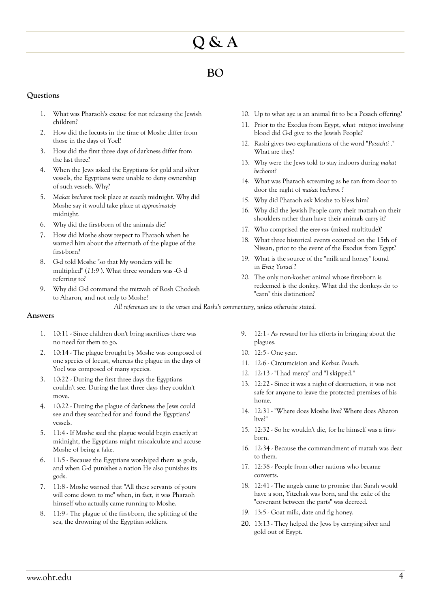# **Q & A**

### **BO**

#### **Questions**

- 1. What was Pharaoh's excuse for not releasing the Jewish children?
- 2. How did the locusts in the time of Moshe differ from those in the days of Yoel?
- 3. How did the first three days of darkness differ from the last three?
- 4. When the Jews asked the Egyptians for gold and silver vessels, the Egyptians were unable to deny ownership of such vessels. Why?
- 5. *Makat bechorot* took place at *exactly* midnight. Why did Moshe say it would take place at *approximately* midnight*.*
- 6. Why did the first-born of the animals die?
- 7. How did Moshe show respect to Pharaoh when he warned him about the aftermath of the plague of the first-born*?*
- 8. G-d told Moshe "so that My wonders will be multiplied" (*11:9* ). What three wonders was -G- d referring to?
- 9. Why did G-d command the mitzvah of Rosh Chodesh to Aharon, and not only to Moshe?
- 10. Up to what age is an animal fit to be a Pesach offering?
- 11. Prior to the Exodus from Egypt, what *mitzvot* involving blood did G-d give to the Jewish People?
- 12. Rashi gives two explanations of the word "*Pasachti* ." What are they?
- 13. Why were the Jews told to stay indoors during *makat bechorot?*
- 14. What was Pharaoh screaming as he ran from door to door the night of *makat bechorot* ?
- 15. Why did Pharaoh ask Moshe to bless him?
- 16. Why did the Jewish People carry their matzah on their shoulders rather than have their animals carry it?
- 17. Who comprised the e*rev rav* (mixed multitude)?
- 18. What three historical events occurred on the 15th of Nissan, prior to the event of the Exodus from Egypt?
- 19. What is the source of the "milk and honey" found in *Eretz Yisrael* ?
- 20. The only non-kosher animal whose first-born is redeemed is the donkey. What did the donkeys do to "earn" this distinction?

*All references are to the verses and Rashi's commentary, unless otherwise stated.*

#### **Answers**

- 1. 10:11 Since children don't bring sacrifices there was no need for them to go.
- 2. 10:14 The plague brought by Moshe was composed of one species of locust, whereas the plague in the days of Yoel was composed of many species.
- 3. 10:22 During the first three days the Egyptians couldn't see. During the last three days they couldn't move.
- 4. 10:22 During the plague of darkness the Jews could see and they searched for and found the Egyptians' vessels.
- 5. 11:4 If Moshe said the plague would begin exactly at midnight, the Egyptians might miscalculate and accuse Moshe of being a fake.
- 6. 11:5 Because the Egyptians worshiped them as gods, and when G-d punishes a nation He also punishes its gods.
- 7. 11:8 Moshe warned that "All these servants of yours will come down to me" when, in fact, it was Pharaoh himself who actually came running to Moshe.
- 8. 11:9 The plague of the first-born, the splitting of the sea, the drowning of the Egyptian soldiers.
- 9. 12:1 As reward for his efforts in bringing about the plagues.
- 10. 12:5 One year.
- 11. 12:6 Circumcision and *Korban Pesach.*
- 12. 12:13 "I had mercy" and "I skipped."
- 13. 12:22 Since it was a night of destruction, it was not safe for anyone to leave the protected premises of his home.
- 14. 12:31 "Where does Moshe live? Where does Aharon live?"
- 15. 12:32 So he wouldn't die, for he himself was a firstborn.
- 16. 12:34 Because the commandment of matzah was dear to them.
- 17. 12:38 People from other nations who became converts.
- 18. 12:41 The angels came to promise that Sarah would have a son, Yitzchak was born, and the exile of the "covenant between the parts" was decreed.
- 19. 13:5 Goat milk, date and fig honey.
- 20. 13:13 They helped the Jews by carrying silver and gold out of Egypt.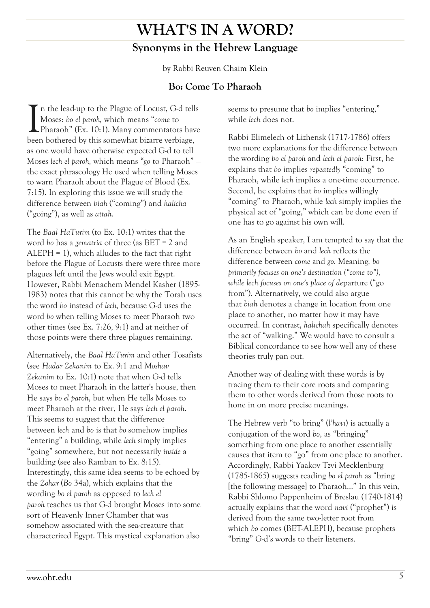### **WHAT'S IN A WORD? Synonyms in the Hebrew Language**

by Rabbi Reuven Chaim Klein

### **Bo: Come To Pharaoh**

n the lead-up to the Plague of Locust, G-d tells Moses: *bo el paroh,* which means "*come* to Pharaoh" (Ex. 10:1). Many commentators have In the lead-up to the Plague of Locust, G-d tells<br>Moses: bo el paroh, which means "come to<br>Pharaoh" (Ex. 10:1). Many commentators hav<br>been bothered by this somewhat bizarre verbiage, as one would have otherwise expected G-d to tell Moses *lech el paroh,* which means "*go* to Pharaoh" the exact phraseology He used when telling Moses to warn Pharaoh about the Plague of Blood (Ex. 7:15). In exploring this issue we will study the difference between *biah* ("coming") and *halicha*  ("going"), as well as *attah*.

The *Baal HaTurim* (to Ex. 10:1) writes that the word *bo* has a *gematria* of three (as BET = 2 and  $ALEPH = 1$ , which alludes to the fact that right before the Plague of Locusts there were three more plagues left until the Jews would exit Egypt. However, Rabbi Menachem Mendel Kasher (1895- 1983) notes that this cannot be why the Torah uses the word *bo* instead of *lech,* because G-d uses the word *bo* when telling Moses to meet Pharaoh two other times (see Ex. 7:26, 9:1) and at neither of those points were there three plagues remaining.

Alternatively, the *Baal HaTurim* and other Tosafists (see *Hadar Zekanim* to Ex. 9:1 and *Moshav Zekanim* to Ex. 10:1) note that when G-d tells Moses to meet Pharaoh in the latter's house, then He says *bo el paroh*, but when He tells Moses to meet Pharaoh at the river, He says *lech el paroh*. This seems to suggest that the difference between *lech* and *bo* is that *bo* somehow implies "entering" a building, while *lech* simply implies "going" somewhere, but not necessarily *inside* a building (see also Ramban to Ex. 8:15). Interestingly, this same idea seems to be echoed by the *Zohar* (*Bo* 34a), which explains that the wording *bo el paroh* as opposed to *lech el paroh* teaches us that G-d brought Moses into some sort of Heavenly Inner Chamber that was somehow associated with the sea-creature that characterized Egypt. This mystical explanation also

seems to presume that *bo* implies "entering," while *lech* does not.

Rabbi Elimelech of Lizhensk (1717-1786) offers two more explanations for the difference between the wording *bo el paroh* and *lech el paroh*: First, he explains that *bo* implies *repeatedly* "coming" to Pharaoh, while *lech* implies a one-time occurrence. Second, he explains that *bo* implies willingly "coming" to Pharaoh, while *lech* simply implies the physical act of "going," which can be done even if one has to go against his own will.

As an English speaker, I am tempted to say that the difference between *bo* and *lech* reflects the difference between *come* and *go.* Meaning*, bo primarily focuses on one's destination ("come to"), while lech focuses on one's place of de*parture ("go from"). Alternatively, we could also argue that *biah* denotes a change in location from one place to another, no matter how it may have occurred. In contrast, *halichah* specifically denotes the act of "walking." We would have to consult a Biblical concordance to see how well any of these theories truly pan out.

Another way of dealing with these words is by tracing them to their core roots and comparing them to other words derived from those roots to hone in on more precise meanings.

The Hebrew verb "to bring" (*l'havi*) is actually a conjugation of the word *bo*, as "bringing" something from one place to another essentially causes that item to "go" from one place to another. Accordingly, Rabbi Yaakov Tzvi Mecklenburg (1785-1865) suggests reading *bo el paroh* as "bring [the following message] to Pharaoh…" In this vein, Rabbi Shlomo Pappenheim of Breslau (1740-1814) actually explains that the word *navi* ("prophet") is derived from the same two-letter root from which *bo* comes (BET-ALEPH), because prophets "bring" G-d's words to their listeners.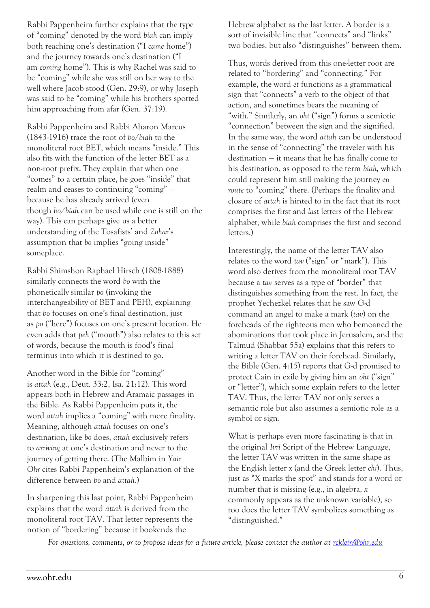Rabbi Pappenheim further explains that the type of "coming" denoted by the word *biah* can imply both reaching one's destination ("I *came* home") and the journey towards one's destination ("I am *coming* home"). This is why Rachel was said to be "coming" while she was still on her way to the well where Jacob stood (Gen. 29:9), or why Joseph was said to be "coming" while his brothers spotted him approaching from afar (Gen. 37:19).

Rabbi Pappenheim and Rabbi Aharon Marcus (1843-1916) trace the root of *bo*/*biah* to the monoliteral root BET, which means "inside." This also fits with the function of the letter BET as a non-root prefix. They explain that when one "comes" to a certain place, he goes "inside" that realm and ceases to continuing "coming" because he has already arrived (even though *bo/biah* can be used while one is still on the way). This can perhaps give us a better understanding of the Tosafists' and *Zohar*'s assumption that *bo* implies "going inside" someplace.

Rabbi Shimshon Raphael Hirsch (1808-1888) similarly connects the word *bo* with the phonetically similar *po* (invoking the interchangeability of BET and PEH), explaining that *bo* focuses on one's final destination, just as *po* ("here") focuses on one's present location. He even adds that *peh* ("mouth") also relates to this set of words, because the mouth is food's final terminus into which it is destined to go.

Another word in the Bible for "coming" is *attah* (e.g., Deut. 33:2, Isa. 21:12). This word appears both in Hebrew and Aramaic passages in the Bible. As Rabbi Pappenheim puts it, the word *attah* implies a "coming" with more finality. Meaning, although *attah* focuses on one's destination, like *bo* does, *attah* exclusively refers to *arriving* at one's destination and never to the journey of getting there. (The Malbim in *Yair Ohr* cites Rabbi Pappenheim's explanation of the difference between *bo* and *attah*.)

In sharpening this last point, Rabbi Pappenheim explains that the word *attah* is derived from the monoliteral root TAV. That letter represents the notion of "bordering" because it bookends the

Hebrew alphabet as the last letter. A border is a sort of invisible line that "connects" and "links" two bodies, but also "distinguishes" between them.

Thus, words derived from this one-letter root are related to "bordering" and "connecting." For example, the word *et* functions as a grammatical sign that "connects" a verb to the object of that action, and sometimes bears the meaning of "with." Similarly, an *oht* ("sign") forms a semiotic "connection" between the sign and the signified. In the same way, the word *attah* can be understood in the sense of "connecting" the traveler with his destination — it means that he has finally come to his destination, as opposed to the term *biah,* which could represent him still making the journey *en route* to "coming" there. (Perhaps the finality and closure of *attah* is hinted to in the fact that its root comprises the first and *last* letters of the Hebrew alphabet*,* while *biah* comprises the first and second letters.)

Interestingly, the name of the letter TAV also relates to the word *tav* ("sign" or "mark"). This word also derives from the monoliteral root TAV because a *tav* serves as a type of "border" that distinguishes something from the rest. In fact, the prophet Yechezkel relates that he saw G-d command an angel to make a mark (*tav*) on the foreheads of the righteous men who bemoaned the abominations that took place in Jerusalem, and the Talmud (Shabbat 55a) explains that this refers to writing a letter TAV on their forehead. Similarly, the Bible (Gen. 4:15) reports that G-d promised to protect Cain in exile by giving him an *oht* ("sign" or "letter"), which some explain refers to the letter TAV. Thus, the letter TAV not only serves a semantic role but also assumes a semiotic role as a symbol or sign.

What is perhaps even more fascinating is that in the original *Ivri* Script of the Hebrew Language, the letter TAV was written in the same shape as the English letter *x* (and the Greek letter *chi*). Thus, just as "X marks the spot" and stands for a word or number that is missing (e.g., in algebra, *x*  commonly appears as the unknown variable), so too does the letter TAV symbolizes something as "distinguished."

*For questions, comments, or to propose ideas for a future article, please contact the author at [rcklein@ohr.edu](mailto:rcklein@ohr.edu)*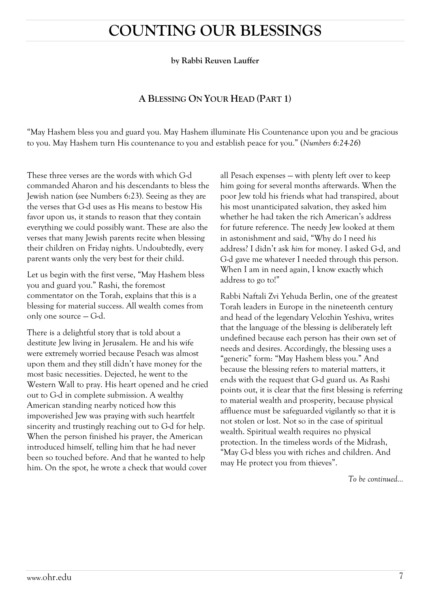### **COUNTING OUR BLESSINGS**

#### **by Rabbi Reuven Lauffer**

### **A BLESSING ON YOUR HEAD (PART 1)**

"May Hashem bless you and guard you. May Hashem illuminate His Countenance upon you and be gracious to you. May Hashem turn His countenance to you and establish peace for you." (*Numbers 6:24-26*)

These three verses are the words with which G-d commanded Aharon and his descendants to bless the Jewish nation (see Numbers 6:23). Seeing as they are the verses that G-d uses as His means to bestow His favor upon us, it stands to reason that they contain everything we could possibly want. These are also the verses that many Jewish parents recite when blessing their children on Friday nights. Undoubtedly, every parent wants only the very best for their child.

Let us begin with the first verse, "May Hashem bless you and guard you." Rashi, the foremost commentator on the Torah, explains that this is a blessing for material success. All wealth comes from only one source — G-d.

There is a delightful story that is told about a destitute Jew living in Jerusalem. He and his wife were extremely worried because Pesach was almost upon them and they still didn't have money for the most basic necessities. Dejected, he went to the Western Wall to pray. His heart opened and he cried out to G-d in complete submission. A wealthy American standing nearby noticed how this impoverished Jew was praying with such heartfelt sincerity and trustingly reaching out to G-d for help. When the person finished his prayer, the American introduced himself, telling him that he had never been so touched before. And that he wanted to help him. On the spot, he wrote a check that would cover

all Pesach expenses — with plenty left over to keep him going for several months afterwards. When the poor Jew told his friends what had transpired, about his most unanticipated salvation, they asked him whether he had taken the rich American's address for future reference. The needy Jew looked at them in astonishment and said, "Why do I need *his* address? I didn't ask *him* for money. I asked G-d, and G-d gave me whatever I needed through this person. When I am in need again, I know exactly which address to go to!"

Rabbi Naftali Zvi Yehuda Berlin, one of the greatest Torah leaders in Europe in the nineteenth century and head of the legendary Velozhin Yeshiva, writes that the language of the blessing is deliberately left undefined because each person has their own set of needs and desires. Accordingly, the blessing uses a "generic" form: "May Hashem bless you." And because the blessing refers to material matters, it ends with the request that G-d guard us. As Rashi points out, it is clear that the first blessing is referring to material wealth and prosperity, because physical affluence must be safeguarded vigilantly so that it is not stolen or lost. Not so in the case of spiritual wealth. Spiritual wealth requires no physical protection. In the timeless words of the Midrash, "May G-d bless you with riches and children. And may He protect you from thieves".

*To be continued…*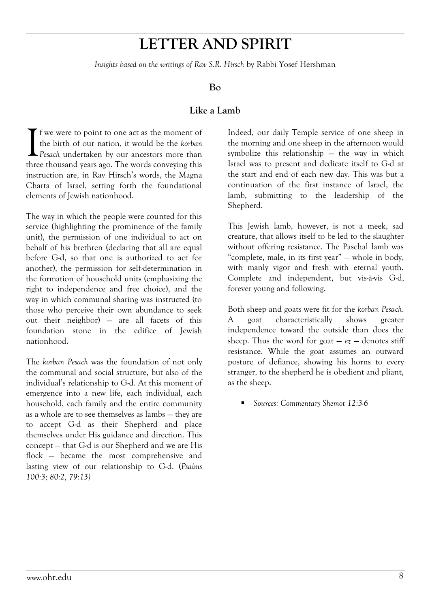### **LETTER AND SPIRIT**

*Insights based on the writings of Rav S.R. Hirsch* by Rabbi Yosef Hershman

#### **Bo**

### **Like a Lamb**

f we were to point to one act as the moment of the birth of our nation, it would be the *korban*  **Performance Internation** is the moment of the birth of our nation, it would be the *korban Pesach* undertaken by our ancestors more than three thousand wears are. The words converges this three thousand years ago. The words conveying this instruction are, in Rav Hirsch's words, the Magna Charta of Israel, setting forth the foundational elements of Jewish nationhood.

The way in which the people were counted for this service (highlighting the prominence of the family unit), the permission of one individual to act on behalf of his brethren (declaring that all are equal before G-d, so that one is authorized to act for another), the permission for self-determination in the formation of household units (emphasizing the right to independence and free choice), and the way in which communal sharing was instructed (to those who perceive their own abundance to seek out their neighbor) — are all facets of this foundation stone in the edifice of Jewish nationhood.

The *korban Pesach* was the foundation of not only the communal and social structure, but also of the individual's relationship to G-d. At this moment of emergence into a new life, each individual, each household, each family and the entire community as a whole are to see themselves as lambs — they are to accept G-d as their Shepherd and place themselves under His guidance and direction. This concept — that G-d is our Shepherd and we are His flock — became the most comprehensive and lasting view of our relationship to G-d. (*Psalms 100:3; 80:2, 79:13)*

Indeed, our daily Temple service of one sheep in the morning and one sheep in the afternoon would symbolize this relationship — the way in which Israel was to present and dedicate itself to G-d at the start and end of each new day. This was but a continuation of the first instance of Israel, the lamb, submitting to the leadership of the Shepherd.

This Jewish lamb, however, is not a meek, sad creature, that allows itself to be led to the slaughter without offering resistance. The Paschal lamb was "complete, male, in its first year" — whole in body, with manly vigor and fresh with eternal youth. Complete and independent, but vis-à-vis G-d, forever young and following.

Both sheep and goats were fit for the *korban Pesach*. A goat characteristically shows greater independence toward the outside than does the sheep. Thus the word for goat  $-ez$  – denotes stiff resistance. While the goat assumes an outward posture of defiance, showing his horns to every stranger, to the shepherd he is obedient and pliant, as the sheep.

*Sources: Commentary Shemot 12:3-6*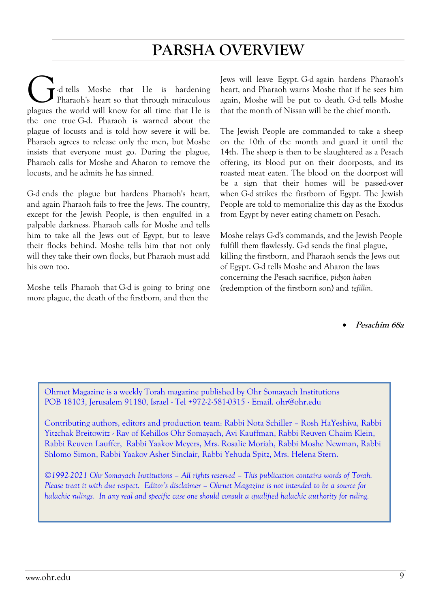## **PARSHA OVERVIEW**

-d tells Moshe that He is hardening Pharaoh's heart so that through miraculous **C** d tells Moshe that He is hardening<br>plagues the world will know for all time that He is the one true G-d. Pharaoh is warned about the plague of locusts and is told how severe it will be. Pharaoh agrees to release only the men, but Moshe insists that everyone must go. During the plague, Pharaoh calls for Moshe and Aharon to remove the locusts, and he admits he has sinned.

G-d ends the plague but hardens Pharaoh's heart, and again Pharaoh fails to free the Jews. The country, except for the Jewish People, is then engulfed in a palpable darkness. Pharaoh calls for Moshe and tells him to take all the Jews out of Egypt, but to leave their flocks behind. Moshe tells him that not only will they take their own flocks, but Pharaoh must add his own too.

Moshe tells Pharaoh that G-d is going to bring one more plague, the death of the firstborn, and then the

Jews will leave Egypt. G-d again hardens Pharaoh's heart, and Pharaoh warns Moshe that if he sees him again, Moshe will be put to death. G-d tells Moshe that the month of Nissan will be the chief month.

The Jewish People are commanded to take a sheep on the 10th of the month and guard it until the 14th. The sheep is then to be slaughtered as a Pesach offering, its blood put on their doorposts, and its roasted meat eaten. The blood on the doorpost will be a sign that their homes will be passed-over when G-d strikes the firstborn of Egypt. The Jewish People are told to memorialize this day as the Exodus from Egypt by never eating chametz on Pesach.

Moshe relays G-d's commands, and the Jewish People fulfill them flawlessly. G-d sends the final plague, killing the firstborn, and Pharaoh sends the Jews out of Egypt. G-d tells Moshe and Aharon the laws concerning the Pesach sacrifice, *pidyon haben* (redemption of the firstborn son) and *tefillin*.

**Pesachim 68a**

 POB 18103, Jerusalem 91180, Israel - Tel +972-2-581-0315 ∙ Email. [ohr@ohr.edu](mailto:ohr@ohr.edu) Ohrnet Magazine is a weekly Torah magazine published by Ohr Somayach Institutions

 Yitzchak Breitowitz - Rav of Kehillos Ohr Somayach, Avi Kauffman, Rabbi Reuven Chaim Klein, Rabbi Reuven Lauffer, Rabbi Yaakov Meyers, Mrs. Rosalie Moriah, Rabbi Moshe Newman, Rabbi Contributing authors, editors and production team: Rabbi Nota Schiller – Rosh HaYeshiva, Rabbi Shlomo Simon, Rabbi Yaakov Asher Sinclair, Rabbi Yehuda Spitz, Mrs. Helena Stern.

*©1992-2021 Ohr Somayach Institutions – All rights reserved – This publication contains words of Torah. Please treat it with due respect. Editor's disclaimer – Ohrnet Magazine is not intended to be a source for halachic rulings. In any real and specific case one should consult a qualified halachic authority for ruling.*